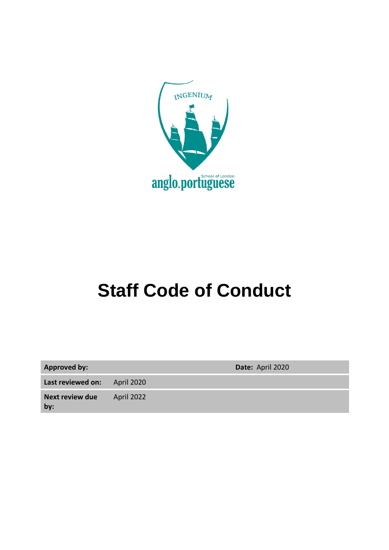

# **Staff Code of Conduct**

| <b>Approved by:</b>           |                   | Date: April 2020 |
|-------------------------------|-------------------|------------------|
| Last reviewed on:             | <b>April 2020</b> |                  |
| <b>Next review due</b><br>by: | April 2022        |                  |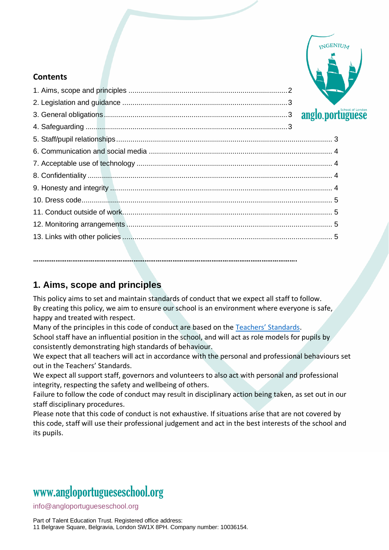

#### **Contents**

| anglo.portugu |  |
|---------------|--|
|               |  |
|               |  |
|               |  |
|               |  |
|               |  |
|               |  |
|               |  |
|               |  |
|               |  |
|               |  |
|               |  |

**…………………………………………………………………………………………………………………………….**

#### **1. Aims, scope and principles**

This policy aims to set and maintain standards of conduct that we expect all staff to follow. By creating this policy, we aim to ensure our school is an environment where everyone is safe, happy and treated with respect.

Many of the principles in this code of conduct are based on the [Teachers' Standards](https://www.gov.uk/government/uploads/system/uploads/attachment_data/file/301107/Teachers__Standards.pdf).

School staff have an influential position in the school, and will act as role models for pupils by consistently demonstrating high standards of behaviour.

We expect that all teachers will act in accordance with the personal and professional behaviours set out in the Teachers' Standards.

We expect all support staff, governors and volunteers to also act with personal and professional integrity, respecting the safety and wellbeing of others.

Failure to follow the code of conduct may result in disciplinary action being taken, as set out in our staff disciplinary procedures.

Please note that this code of conduct is not exhaustive. If situations arise that are not covered by this code, staff will use their professional judgement and act in the best interests of the school and its pupils.

### www[.angloportugueseschool.org](https://angloportugueseschool.org/)

[info@a](mailto:info@)ngloportugueseschool.org

Part of Talent Education Trust. Registered office address: 11 Belgrave Square, Belgravia, London SW1X 8PH. Company number: 10036154.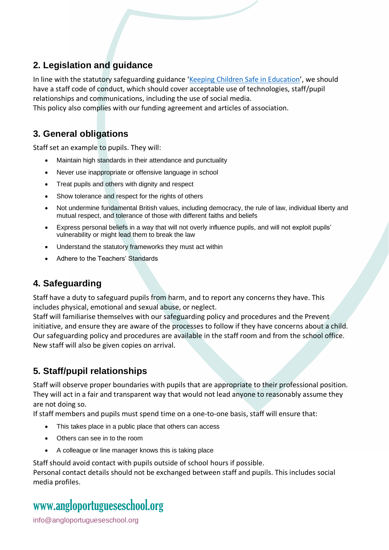#### **2. Legislation and guidance**

In line with the statutory safeguarding guidance '[Keeping Children Safe in Education](https://www.gov.uk/government/publications/keeping-children-safe-in-education--2)', we should have a staff code of conduct, which should cover acceptable use of technologies, staff/pupil relationships and communications, including the use of social media.

This policy also complies with our funding agreement and articles of association.

#### **3. General obligations**

Staff set an example to pupils. They will:

- Maintain high standards in their attendance and punctuality
- Never use inappropriate or offensive language in school
- Treat pupils and others with dignity and respect
- Show tolerance and respect for the rights of others
- Not undermine fundamental British values, including democracy, the rule of law, individual liberty and mutual respect, and tolerance of those with different faiths and beliefs
- Express personal beliefs in a way that will not overly influence pupils, and will not exploit pupils' vulnerability or might lead them to break the law
- Understand the statutory frameworks they must act within
- Adhere to the Teachers' Standards

#### **4. Safeguarding**

Staff have a duty to safeguard pupils from harm, and to report any concerns they have. This includes physical, emotional and sexual abuse, or neglect.

Staff will familiarise themselves with our safeguarding policy and procedures and the Prevent initiative, and ensure they are aware of the processes to follow if they have concerns about a child. Our safeguarding policy and procedures are available in the staff room and from the school office. New staff will also be given copies on arrival.

#### **5. Staff/pupil relationships**

Staff will observe proper boundaries with pupils that are appropriate to their professional position. They will act in a fair and transparent way that would not lead anyone to reasonably assume they are not doing so.

If staff members and pupils must spend time on a one-to-one basis, staff will ensure that:

- This takes place in a public place that others can access
- Others can see in to the room
- A colleague or line manager knows this is taking place

Staff should avoid contact with pupils outside of school hours if possible.

Personal contact details should not be exchanged between staff and pupils. This includes social media profiles.

### www[.angloportugueseschool.org](https://angloportugueseschool.org/)

[info@a](mailto:info@)ngloportugueseschool.org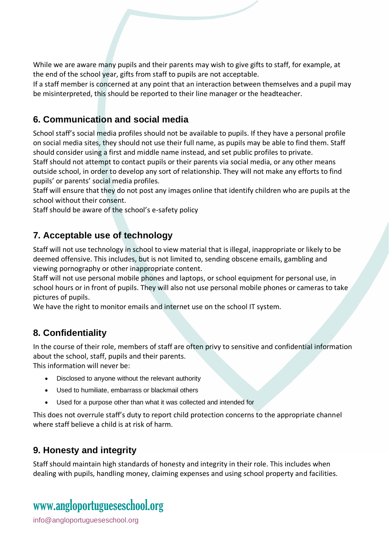While we are aware many pupils and their parents may wish to give gifts to staff, for example, at the end of the school year, gifts from staff to pupils are not acceptable.

If a staff member is concerned at any point that an interaction between themselves and a pupil may be misinterpreted, this should be reported to their line manager or the headteacher.

#### **6. Communication and social media**

School staff's social media profiles should not be available to pupils. If they have a personal profile on social media sites, they should not use their full name, as pupils may be able to find them. Staff should consider using a first and middle name instead, and set public profiles to private.

Staff should not attempt to contact pupils or their parents via social media, or any other means outside school, in order to develop any sort of relationship. They will not make any efforts to find pupils' or parents' social media profiles.

Staff will ensure that they do not post any images online that identify children who are pupils at the school without their consent.

Staff should be aware of the school's e-safety policy

#### **7. Acceptable use of technology**

Staff will not use technology in school to view material that is illegal, inappropriate or likely to be deemed offensive. This includes, but is not limited to, sending obscene emails, gambling and viewing pornography or other inappropriate content.

Staff will not use personal mobile phones and laptops, or school equipment for personal use, in school hours or in front of pupils. They will also not use personal mobile phones or cameras to take pictures of pupils.

We have the right to monitor emails and internet use on the school IT system.

#### **8. Confidentiality**

In the course of their role, members of staff are often privy to sensitive and confidential information about the school, staff, pupils and their parents.

This information will never be:

- Disclosed to anyone without the relevant authority
- Used to humiliate, embarrass or blackmail others
- Used for a purpose other than what it was collected and intended for

This does not overrule staff's duty to report child protection concerns to the appropriate channel where staff believe a child is at risk of harm.

#### **9. Honesty and integrity**

Staff should maintain high standards of honesty and integrity in their role. This includes when dealing with pupils, handling money, claiming expenses and using school property and facilities.

## www[.angloportugueseschool.org](https://angloportugueseschool.org/)

[info@a](mailto:info@)ngloportugueseschool.org